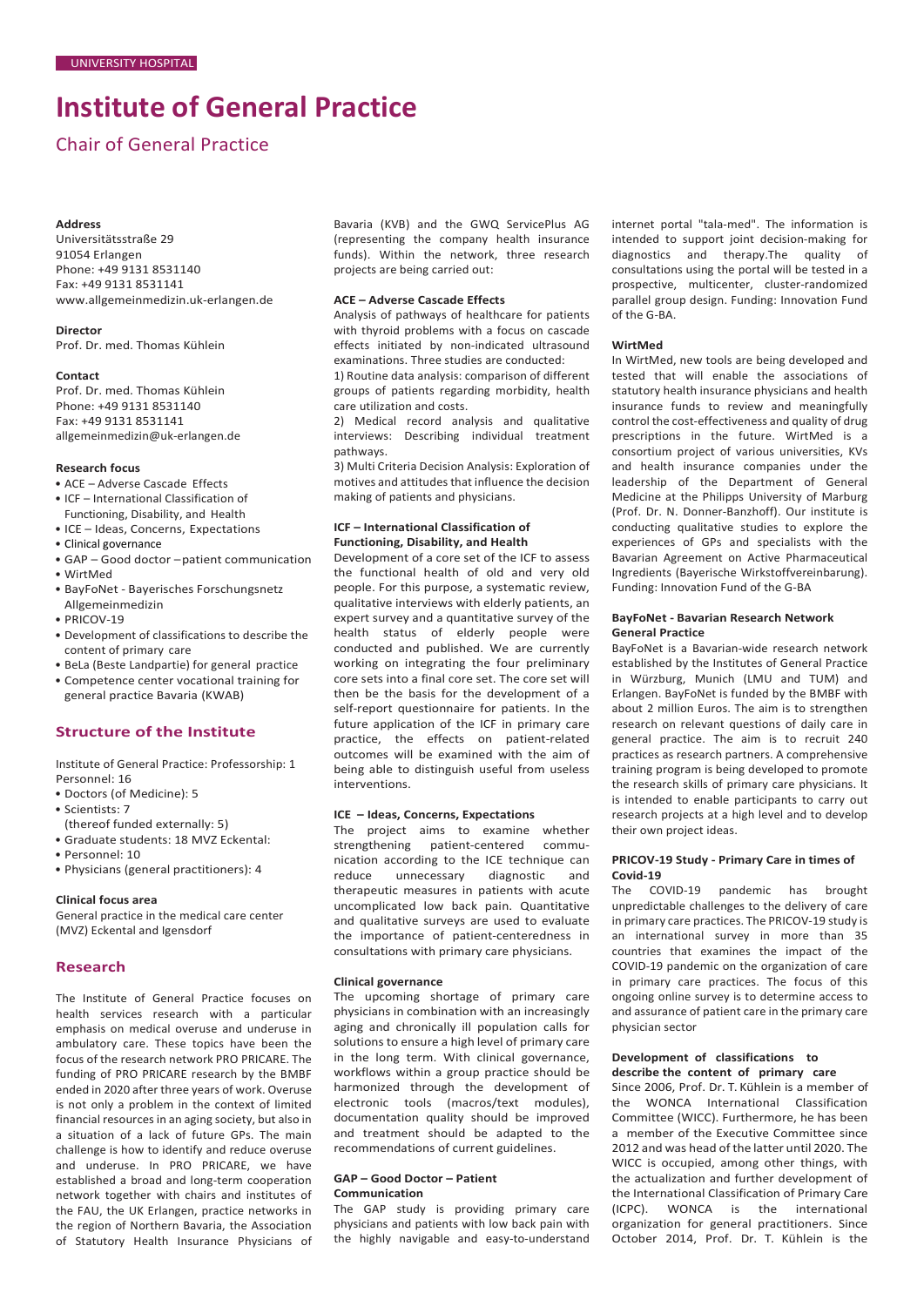# **Institute of General Practice**

## Chair of General Practice

### **Address**

Universitätsstraße 29 91054 Erlangen Phone: +49 9131 8531140 Fax: +49 9131 8531141 [www.allgemeinmedizin.uk-erlangen.de](http://www.allgemeinmedizin.uk-erlangen.de/)

## **Director**

Prof. Dr. med. Thomas Kühlein

#### **Contact**

Prof. Dr. med. Thomas Kühlein Phone: +49 9131 8531140 Fax: +49 9131 8531141 [allgemeinmedizin@uk-erlangen.de](mailto:allgemeinmedizin@uk-erlangen.de)

### **Research focus**

- ACE Adverse Cascade Effects
- ICF International Classification of
- Functioning, Disability, and Health
- ICE Ideas, Concerns, Expectations
- Clinical governance
- GAP Good doctor –patient communication • WirtMed
- BayFoNet Bayerisches Forschungsnetz
- Allgemeinmedizin
- PRICOV-19
- Development of classifications to describe the content of primary care
- BeLa (Beste Landpartie) for general practice
- Competence center vocational training for general practice Bavaria (KWAB)

## **Structure of the Institute**

Institute of General Practice: Professorship: 1 Personnel: 16

- Doctors (of Medicine): 5
- Scientists: 7
- (thereof funded externally: 5)
- Graduate students: 18 MVZ Eckental:
- Personnel: 10
- Physicians (general practitioners): 4

#### **Clinical focus area**

General practice in the medical care center (MVZ) Eckental and Igensdorf

## **Research**

The Institute of General Practice focuses on health services research with a particular emphasis on medical overuse and underuse in ambulatory care. These topics have been the focus of the research network PRO PRICARE. The funding of PRO PRICARE research by the BMBF ended in 2020 after three years of work. Overuse is not only a problem in the context of limited financial resources in an aging society, but also in a situation of a lack of future GPs. The main challenge is how to identify and reduce overuse and underuse. In PRO PRICARE, we have established a broad and long-term cooperation network together with chairs and institutes of the FAU, the UK Erlangen, practice networks in the region of Northern Bavaria, the Association of Statutory Health Insurance Physicians of Bavaria (KVB) and the GWQ ServicePlus AG (representing the company health insurance funds). Within the network, three research projects are being carried out:

## **ACE – Adverse Cascade Effects**

Analysis of pathways of healthcare for patients with thyroid problems with a focus on cascade effects initiated by non-indicated ultrasound examinations. Three studies are conducted:

1) Routine data analysis: comparison of different groups of patients regarding morbidity, health care utilization and costs.

2) Medical record analysis and qualitative interviews: Describing individual treatment pathways.

3) Multi Criteria Decision Analysis: Exploration of motives and attitudes that influence the decision making of patients and physicians.

## **ICF – International Classification of Functioning, Disability, and Health**

Development of a core set of the ICF to assess the functional health of old and very old people. For this purpose, a systematic review, qualitative interviews with elderly patients, an expert survey and a quantitative survey of the health status of elderly people were conducted and published. We are currently working on integrating the four preliminary core sets into a final core set. The core set will then be the basis for the development of a self-report questionnaire for patients. In the future application of the ICF in primary care practice, the effects on patient-related outcomes will be examined with the aim of being able to distinguish useful from useless interventions.

#### **ICE – Ideas, Concerns, Expectations**

The project aims to examine whether<br>strengthening patient-centered commupatient-centered nication according to the ICE technique can<br>reduce unnecessary diagnostic and unnecessary diagnostic and therapeutic measures in patients with acute uncomplicated low back pain. Quantitative and qualitative surveys are used to evaluate the importance of patient-centeredness in consultations with primary care physicians.

### **Clinical governance**

The upcoming shortage of primary care physicians in combination with an increasingly aging and chronically ill population calls for solutions to ensure a high level of primary care in the long term. With clinical governance, workflows within a group practice should be harmonized through the development of electronic tools (macros/text modules), documentation quality should be improved and treatment should be adapted to the recommendations of current guidelines.

## **GAP – Good Doctor – Patient**

## **Communication**

The GAP study is providing primary care physicians and patients with low back pain with the highly navigable and easy-to-understand

internet portal "tala-med". The information is intended to support joint decision-making for diagnostics and therapy.The quality of consultations using the portal will be tested in a prospective, multicenter, cluster-randomized parallel group design. Funding: Innovation Fund of the G-BA.

#### **WirtMed**

In WirtMed, new tools are being developed and tested that will enable the associations of statutory health insurance physicians and health insurance funds to review and meaningfully control the cost-effectiveness and quality of drug prescriptions in the future. WirtMed is a consortium project of various universities, KVs and health insurance companies under the leadership of the Department of General Medicine at the Philipps University of Marburg (Prof. Dr. N. Donner-Banzhoff). Our institute is conducting qualitative studies to explore the experiences of GPs and specialists with the Bavarian Agreement on Active Pharmaceutical Ingredients (Bayerische Wirkstoffvereinbarung). Funding: Innovation Fund of the G-BA

## **BayFoNet - Bavarian Research Network General Practice**

BayFoNet is a Bavarian-wide research network established by the Institutes of General Practice in Würzburg, Munich (LMU and TUM) and Erlangen. BayFoNet is funded by the BMBF with about 2 million Euros. The aim is to strengthen research on relevant questions of daily care in general practice. The aim is to recruit 240 practices as research partners. A comprehensive training program is being developed to promote the research skills of primary care physicians. It is intended to enable participants to carry out research projects at a high level and to develop their own project ideas.

## **PRICOV-19 Study - Primary Care in times of Covid-19**

The COVID-19 pandemic has brought unpredictable challenges to the delivery of care in primary care practices. The PRICOV-19 study is an international survey in more than 35 countries that examines the impact of the COVID-19 pandemic on the organization of care in primary care practices. The focus of this ongoing online survey is to determine access to and assurance of patient care in the primary care physician sector

## **Development of classifications to describe the content of primary care**

Since 2006, Prof. Dr. T. Kühlein is a member of the WONCA International Classification Committee (WICC). Furthermore, he has been a member of the Executive Committee since 2012 and was head of the latter until 2020. The WICC is occupied, among other things, with the actualization and further development of the International Classification of Primary Care (ICPC). WONCA is the international organization for general practitioners. Since October 2014, Prof. Dr. T. Kühlein is the